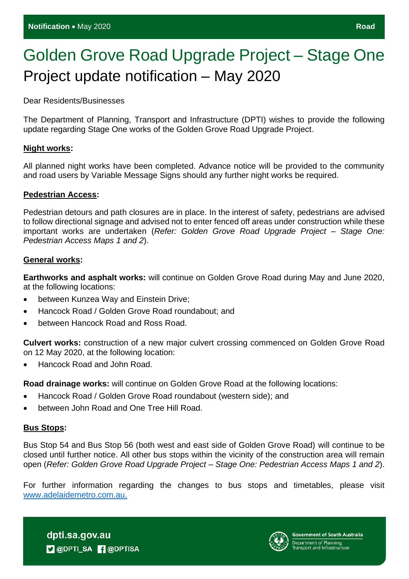# Golden Grove Road Upgrade Project – Stage One Project update notification – May 2020

Dear Residents/Businesses

The Department of Planning, Transport and Infrastructure (DPTI) wishes to provide the following update regarding Stage One works of the Golden Grove Road Upgrade Project.

### **Night works:**

All planned night works have been completed. Advance notice will be provided to the community and road users by Variable Message Signs should any further night works be required.

#### **Pedestrian Access:**

Pedestrian detours and path closures are in place. In the interest of safety, pedestrians are advised to follow directional signage and advised not to enter fenced off areas under construction while these important works are undertaken (*Refer: Golden Grove Road Upgrade Project – Stage One: Pedestrian Access Maps 1 and 2*).

#### **General works:**

**Earthworks and asphalt works:** will continue on Golden Grove Road during May and June 2020, at the following locations:

- between Kunzea Way and Einstein Drive;
- Hancock Road / Golden Grove Road roundabout; and
- between Hancock Road and Ross Road.

**Culvert works:** construction of a new major culvert crossing commenced on Golden Grove Road on 12 May 2020, at the following location:

• Hancock Road and John Road.

**Road drainage works:** will continue on Golden Grove Road at the following locations:

- Hancock Road / Golden Grove Road roundabout (western side); and
- between John Road and One Tree Hill Road.

## **Bus Stops:**

Bus Stop 54 and Bus Stop 56 (both west and east side of Golden Grove Road) will continue to be closed until further notice. All other bus stops within the vicinity of the construction area will remain open (*Refer: Golden Grove Road Upgrade Project – Stage One: Pedestrian Access Maps 1 and 2*).

For further information regarding the changes to bus stops and timetables, please visit [www.adelaidemetro.com.au.](http://www.adelaidemetro.com.au/)

dpti.sa.gov.au **D** @DPTI\_SA **R** @DPTISA

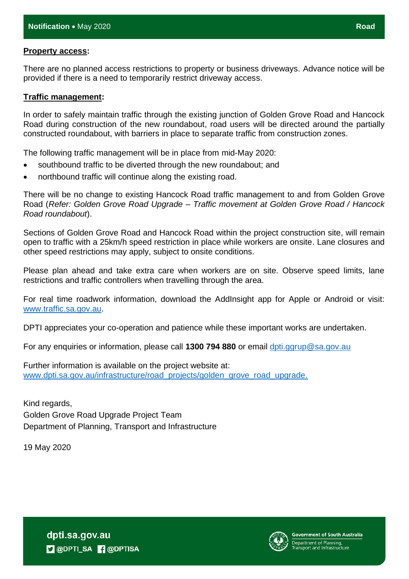There are no planned access restrictions to property or business driveways. Advance notice will be provided if there is a need to temporarily restrict driveway access.

### **Traffic management:**

In order to safely maintain traffic through the existing junction of Golden Grove Road and Hancock Road during construction of the new roundabout, road users will be directed around the partially constructed roundabout, with barriers in place to separate traffic from construction zones.

The following traffic management will be in place from mid-May 2020:

- southbound traffic to be diverted through the new roundabout; and
- northbound traffic will continue along the existing road.

There will be no change to existing Hancock Road traffic management to and from Golden Grove Road (*Refer: Golden Grove Road Upgrade – Traffic movement at Golden Grove Road / Hancock Road roundabout*).

Sections of Golden Grove Road and Hancock Road within the project construction site, will remain open to traffic with a 25km/h speed restriction in place while workers are onsite. Lane closures and other speed restrictions may apply, subject to onsite conditions.

Please plan ahead and take extra care when workers are on site. Observe speed limits, lane restrictions and traffic controllers when travelling through the area.

For real time roadwork information, download the AddInsight app for Apple or Android or visit: [www.traffic.sa.gov.au.](http://www.traffic.sa.gov.au/)

DPTI appreciates your co-operation and patience while these important works are undertaken.

For any enquiries or information, please call **1300 794 880** or email doti.ggrup@sa.gov.au

Further information is available on the project website at: [www.dpti.sa.gov.au/infrastructure/road\\_projects/golden\\_grove\\_road\\_upgrade.](https://protect-au.mimecast.com/s/766gCnxyyQcA3vBIv9sDk?domain=dpti.sa.gov.au)

Kind regards, Golden Grove Road Upgrade Project Team Department of Planning, Transport and Infrastructure

19 May 2020

**Government of South Australia** 

dpti.sa.gov.au **D** @DPTI\_SA **R** @DPTISA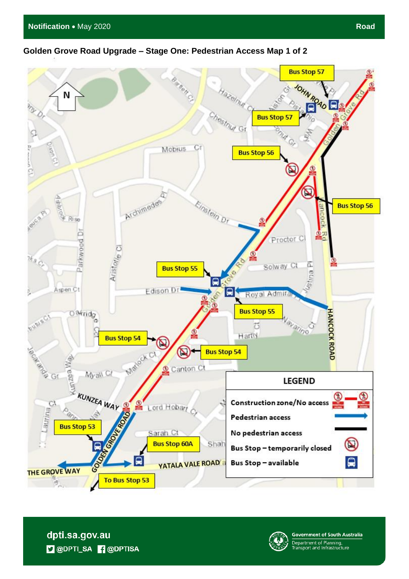## **Golden Grove Road Upgrade – Stage One: Pedestrian Access Map 1 of 2**



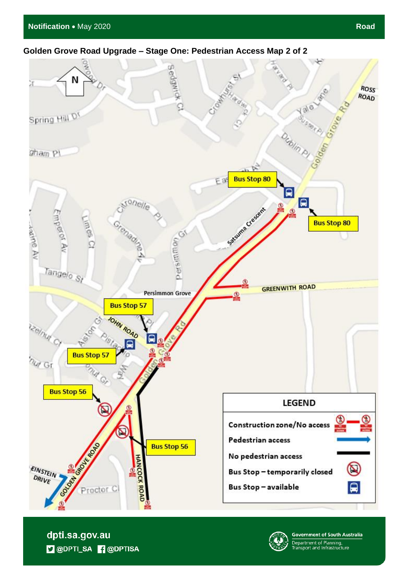# **Golden Grove Road Upgrade – Stage One: Pedestrian Access Map 2 of 2**



dpti.sa.gov.au **D** @DPTI\_SA **R** @DPTISA